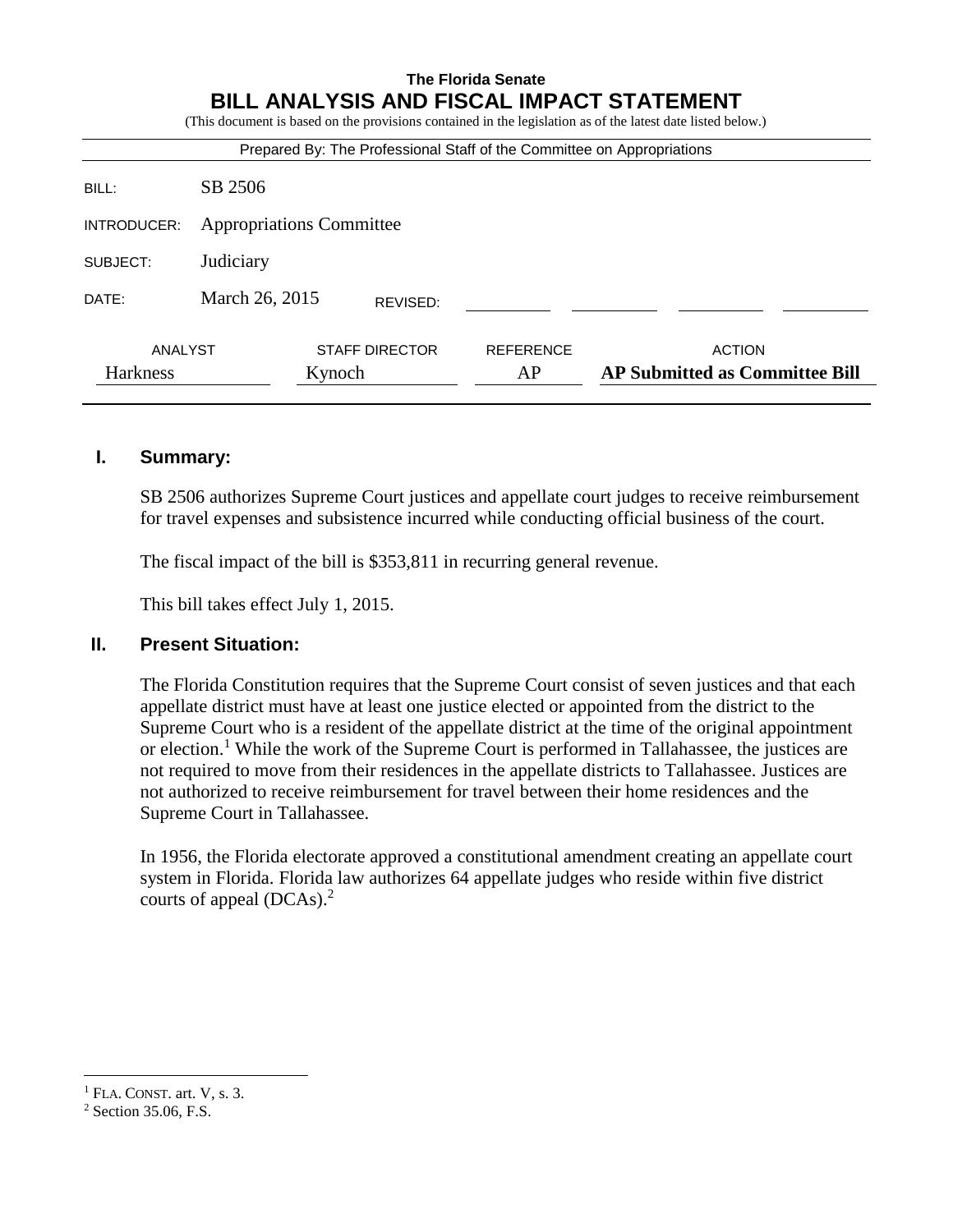## **The Florida Senate BILL ANALYSIS AND FISCAL IMPACT STATEMENT**

(This document is based on the provisions contained in the legislation as of the latest date listed below.)

| Prepared By: The Professional Staff of the Committee on Appropriations |          |                                 |                                                        |  |  |  |
|------------------------------------------------------------------------|----------|---------------------------------|--------------------------------------------------------|--|--|--|
| SB 2506                                                                |          |                                 |                                                        |  |  |  |
| <b>Appropriations Committee</b>                                        |          |                                 |                                                        |  |  |  |
| Judiciary                                                              |          |                                 |                                                        |  |  |  |
| March 26, 2015                                                         | REVISED: |                                 |                                                        |  |  |  |
|                                                                        |          | <b>REFERENCE</b><br>AP          | <b>ACTION</b><br><b>AP Submitted as Committee Bill</b> |  |  |  |
|                                                                        | ANALYST  | <b>STAFF DIRECTOR</b><br>Kynoch |                                                        |  |  |  |

#### **I. Summary:**

SB 2506 authorizes Supreme Court justices and appellate court judges to receive reimbursement for travel expenses and subsistence incurred while conducting official business of the court.

The fiscal impact of the bill is \$353,811 in recurring general revenue.

This bill takes effect July 1, 2015.

#### **II. Present Situation:**

The Florida Constitution requires that the Supreme Court consist of seven justices and that each appellate district must have at least one justice elected or appointed from the district to the Supreme Court who is a resident of the appellate district at the time of the original appointment or election.<sup>1</sup> While the work of the Supreme Court is performed in Tallahassee, the justices are not required to move from their residences in the appellate districts to Tallahassee. Justices are not authorized to receive reimbursement for travel between their home residences and the Supreme Court in Tallahassee.

In 1956, the Florida electorate approved a constitutional amendment creating an appellate court system in Florida. Florida law authorizes 64 appellate judges who reside within five district courts of appeal (DCAs). 2

 $\overline{a}$ 

 $<sup>1</sup>$  FLA. CONST. art. V, s. 3.</sup>

<sup>2</sup> Section 35.06, F.S.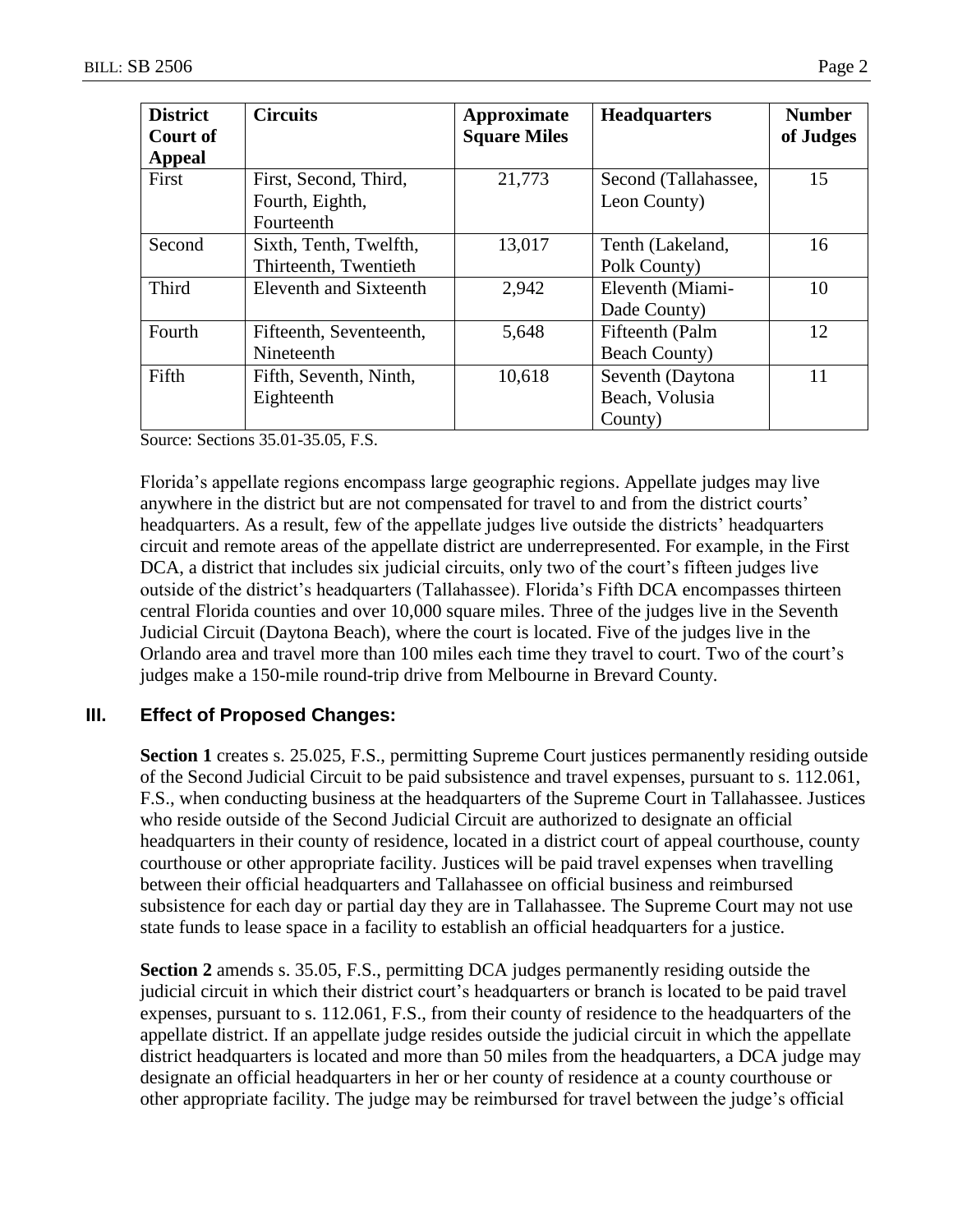| <b>District</b><br>Court of<br>Appeal | <b>Circuits</b>                                        | Approximate<br><b>Square Miles</b> | <b>Headquarters</b>                           | <b>Number</b><br>of Judges |
|---------------------------------------|--------------------------------------------------------|------------------------------------|-----------------------------------------------|----------------------------|
| First                                 | First, Second, Third,<br>Fourth, Eighth,<br>Fourteenth | 21,773                             | Second (Tallahassee,<br>Leon County)          | 15                         |
| Second                                | Sixth, Tenth, Twelfth,<br>Thirteenth, Twentieth        | 13,017                             | Tenth (Lakeland,<br>Polk County)              | 16                         |
| Third                                 | Eleventh and Sixteenth                                 | 2,942                              | Eleventh (Miami-<br>Dade County)              | 10                         |
| Fourth                                | Fifteenth, Seventeenth,<br>Nineteenth                  | 5,648                              | Fifteenth (Palm<br><b>Beach County)</b>       | 12                         |
| Fifth                                 | Fifth, Seventh, Ninth,<br>Eighteenth                   | 10,618                             | Seventh (Daytona<br>Beach, Volusia<br>County) | 11                         |

Source: Sections 35.01-35.05, F.S.

Florida's appellate regions encompass large geographic regions. Appellate judges may live anywhere in the district but are not compensated for travel to and from the district courts' headquarters. As a result, few of the appellate judges live outside the districts' headquarters circuit and remote areas of the appellate district are underrepresented. For example, in the First DCA, a district that includes six judicial circuits, only two of the court's fifteen judges live outside of the district's headquarters (Tallahassee). Florida's Fifth DCA encompasses thirteen central Florida counties and over 10,000 square miles. Three of the judges live in the Seventh Judicial Circuit (Daytona Beach), where the court is located. Five of the judges live in the Orlando area and travel more than 100 miles each time they travel to court. Two of the court's judges make a 150-mile round-trip drive from Melbourne in Brevard County.

# **III. Effect of Proposed Changes:**

**Section 1** creates s. 25.025, F.S., permitting Supreme Court justices permanently residing outside of the Second Judicial Circuit to be paid subsistence and travel expenses, pursuant to s. 112.061, F.S., when conducting business at the headquarters of the Supreme Court in Tallahassee. Justices who reside outside of the Second Judicial Circuit are authorized to designate an official headquarters in their county of residence, located in a district court of appeal courthouse, county courthouse or other appropriate facility. Justices will be paid travel expenses when travelling between their official headquarters and Tallahassee on official business and reimbursed subsistence for each day or partial day they are in Tallahassee. The Supreme Court may not use state funds to lease space in a facility to establish an official headquarters for a justice.

**Section 2** amends s. 35.05, F.S., permitting DCA judges permanently residing outside the judicial circuit in which their district court's headquarters or branch is located to be paid travel expenses, pursuant to s. 112.061, F.S., from their county of residence to the headquarters of the appellate district. If an appellate judge resides outside the judicial circuit in which the appellate district headquarters is located and more than 50 miles from the headquarters, a DCA judge may designate an official headquarters in her or her county of residence at a county courthouse or other appropriate facility. The judge may be reimbursed for travel between the judge's official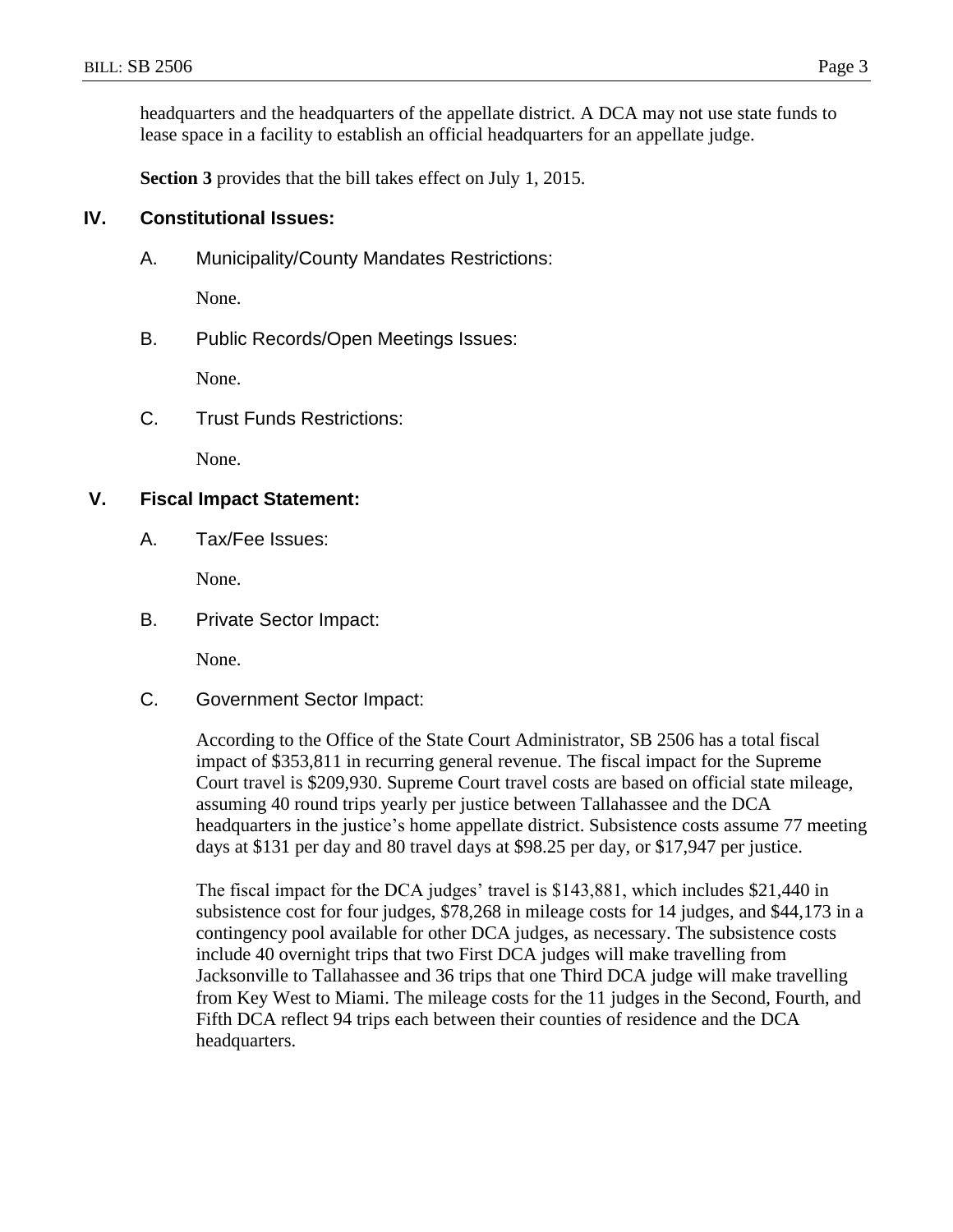headquarters and the headquarters of the appellate district. A DCA may not use state funds to lease space in a facility to establish an official headquarters for an appellate judge.

**Section 3** provides that the bill takes effect on July 1, 2015.

### **IV. Constitutional Issues:**

A. Municipality/County Mandates Restrictions:

None.

B. Public Records/Open Meetings Issues:

None.

C. Trust Funds Restrictions:

None.

#### **V. Fiscal Impact Statement:**

A. Tax/Fee Issues:

None.

B. Private Sector Impact:

None.

C. Government Sector Impact:

According to the Office of the State Court Administrator, SB 2506 has a total fiscal impact of \$353,811 in recurring general revenue. The fiscal impact for the Supreme Court travel is \$209,930. Supreme Court travel costs are based on official state mileage, assuming 40 round trips yearly per justice between Tallahassee and the DCA headquarters in the justice's home appellate district. Subsistence costs assume 77 meeting days at \$131 per day and 80 travel days at \$98.25 per day, or \$17,947 per justice.

The fiscal impact for the DCA judges' travel is \$143,881, which includes \$21,440 in subsistence cost for four judges, \$78,268 in mileage costs for 14 judges, and \$44,173 in a contingency pool available for other DCA judges, as necessary. The subsistence costs include 40 overnight trips that two First DCA judges will make travelling from Jacksonville to Tallahassee and 36 trips that one Third DCA judge will make travelling from Key West to Miami. The mileage costs for the 11 judges in the Second, Fourth, and Fifth DCA reflect 94 trips each between their counties of residence and the DCA headquarters.